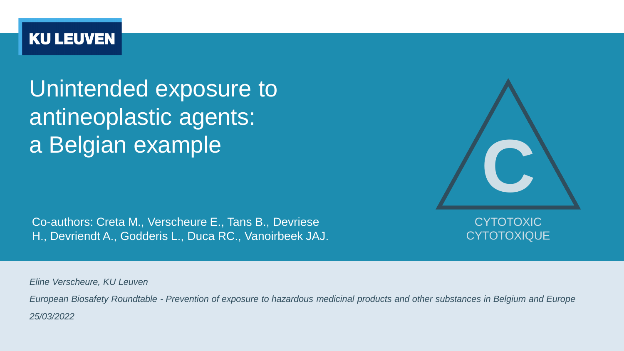### **KU LEUVEN**

Unintended exposure to antineoplastic agents: a Belgian example

Co-authors: Creta M., Verscheure E., Tans B., Devriese H., Devriendt A., Godderis L., Duca RC., Vanoirbeek JAJ.

CYTOTOXIC **CYTOTOXIQUE** 

**C**

*Eline Verscheure, KU Leuven*

*European Biosafety Roundtable - Prevention of exposure to hazardous medicinal products and other substances in Belgium and Europe 25/03/2022*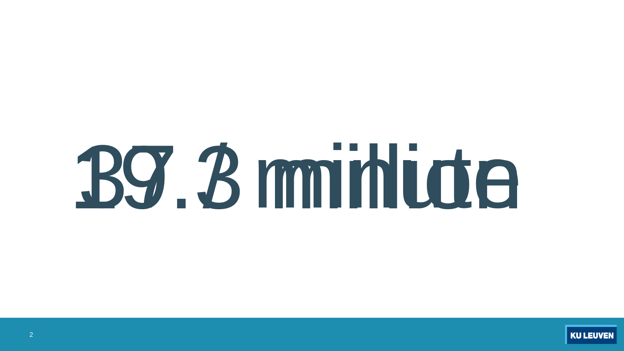# 19.3 miniute

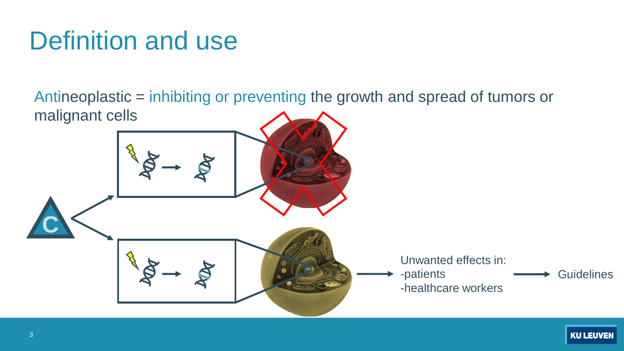# Definition and use

Antineoplastic = inhibiting or preventing the growth and spread of tumors or malignant cells

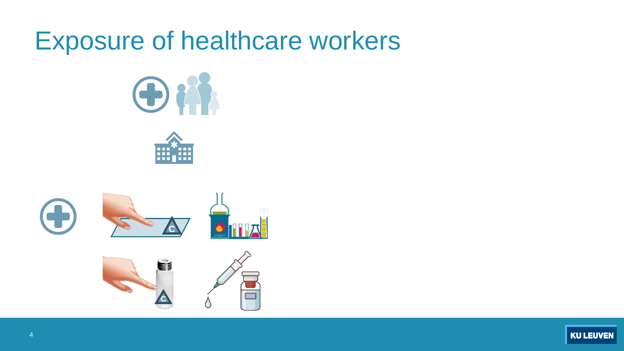# Exposure of healthcare workers







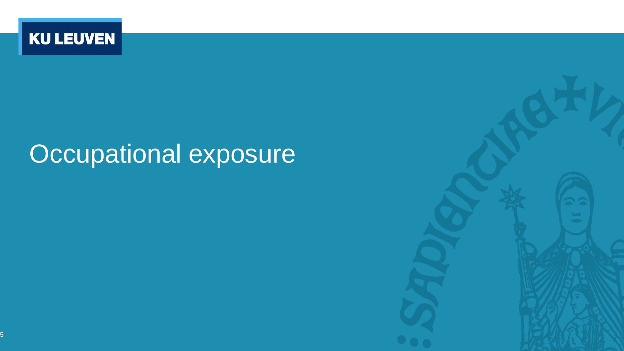

# Occupational exposure

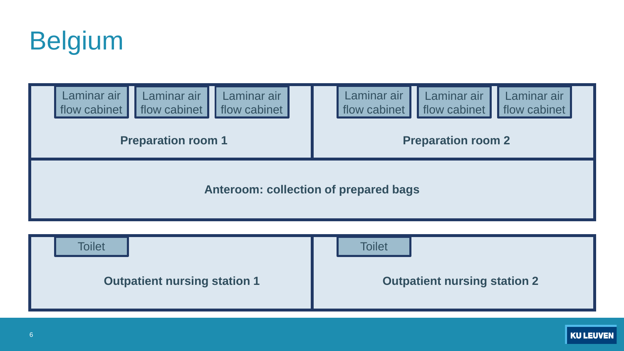





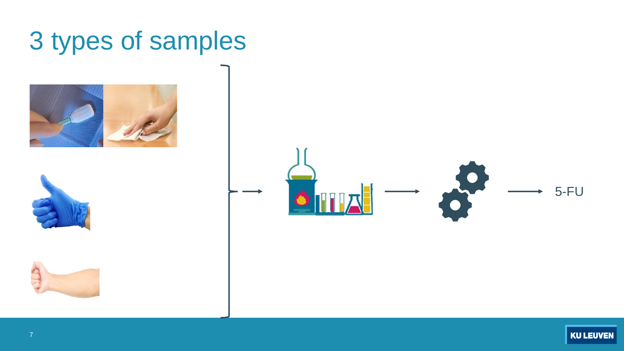# 3 types of samples









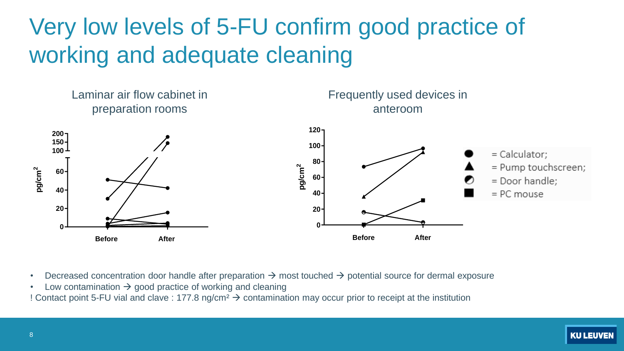# Very low levels of 5-FU confirm good practice of working and adequate cleaning



- Decreased concentration door handle after preparation  $\rightarrow$  most touched  $\rightarrow$  potential source for dermal exposure
- Low contamination  $\rightarrow$  good practice of working and cleaning

! Contact point 5-FU vial and clave : 177.8 ng/cm² → contamination may occur prior to receipt at the institution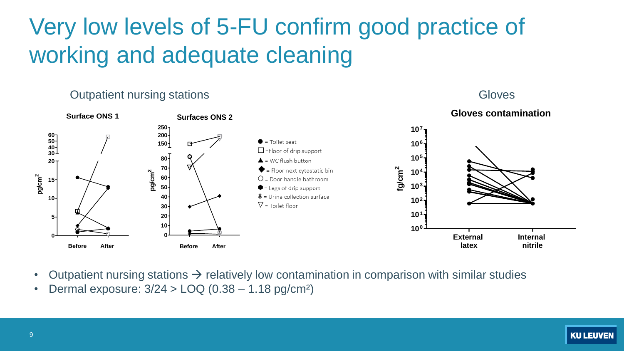# Very low levels of 5-FU confirm good practice of working and adequate cleaning

### **Outpatient nursing stations** Gloves





**Before After**

- **External latex Internal nitrile**
- Outpatient nursing stations  $\rightarrow$  relatively low contamination in comparison with similar studies
- Dermal exposure: 3/24 > LOQ (0.38 1.18 pg/cm²)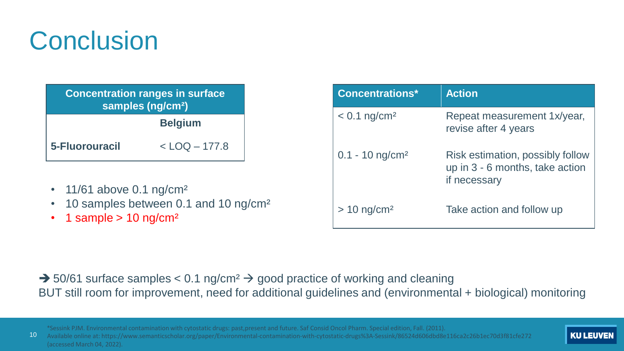# **Conclusion**

| <b>Concentration ranges in surface</b><br>samples (ng/cm <sup>2</sup> ) |                   |
|-------------------------------------------------------------------------|-------------------|
|                                                                         | <b>Belgium</b>    |
| 5-Fluorouracil                                                          | $<$ LOQ $-$ 177.8 |

- 11/61 above 0.1 ng/cm<sup>2</sup>
- 10 samples between 0.1 and 10 ng/cm²
- 1 sample  $> 10$  ng/cm<sup>2</sup>

| <b>Concentrations*</b>        | <b>Action</b>                                                                       |
|-------------------------------|-------------------------------------------------------------------------------------|
| $< 0.1$ ng/cm <sup>2</sup>    | Repeat measurement 1x/year,<br>revise after 4 years                                 |
| $0.1 - 10$ ng/cm <sup>2</sup> | Risk estimation, possibly follow<br>up in 3 - 6 months, take action<br>if necessary |
| $>$ 10 ng/cm <sup>2</sup>     | Take action and follow up                                                           |

### $\rightarrow$  50/61 surface samples < 0.1 ng/cm<sup>2</sup>  $\rightarrow$  good practice of working and cleaning BUT still room for improvement, need for additional guidelines and (environmental + biological) monitoring

10 \*Sessink PJM. Environmental contamination with cytostatic drugs: past,present and future. Saf Consid Oncol Pharm. Special edition, Fall. (2011). Available online at: https://www.semanticscholar.org/paper/Environmental-contamination-with-cytostatic-drugs%3A-Sessink/86524d606dbd8e116ca2c26b1ec70d3f81cfe272 (accessed March 04, 2022).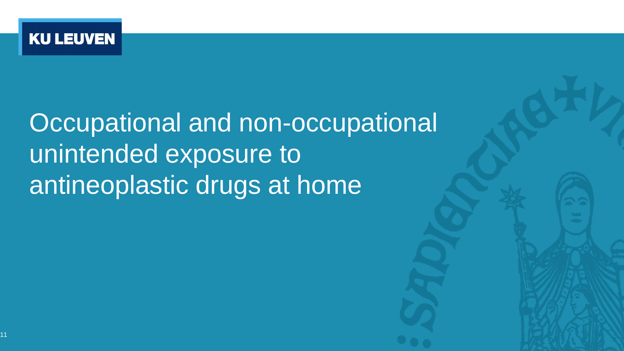

# **Occupational and non-occupational** unintended exposure to antineoplastic drugs at home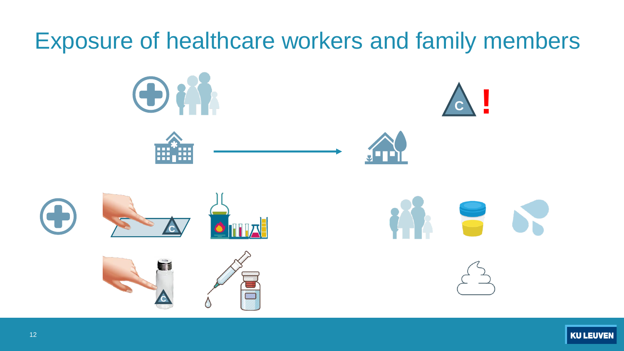# Exposure of healthcare workers and family members

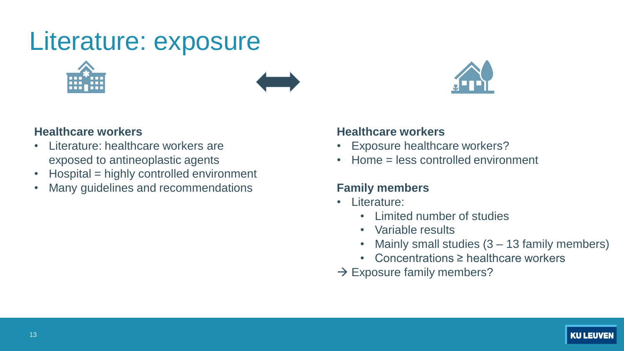# Literature: exposure







### **Healthcare workers**

- Literature: healthcare workers are exposed to antineoplastic agents
- Hospital = highly controlled environment
- Many guidelines and recommendations

### **Healthcare workers**

- Exposure healthcare workers?
- Home = less controlled environment

### **Family members**

- Literature:
	- Limited number of studies
	- Variable results
	- Mainly small studies (3 13 family members)
	- Concentrations ≥ healthcare workers
- $\rightarrow$  Exposure family members?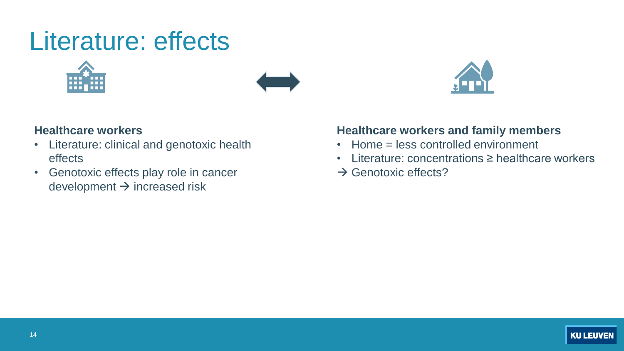# Literature: effects







### **Healthcare workers**

- Literature: clinical and genotoxic health effects
- Genotoxic effects play role in cancer development  $\rightarrow$  increased risk

### **Healthcare workers and family members**

- Home = less controlled environment
- Literature: concentrations ≥ healthcare workers
- $\rightarrow$  Genotoxic effects?

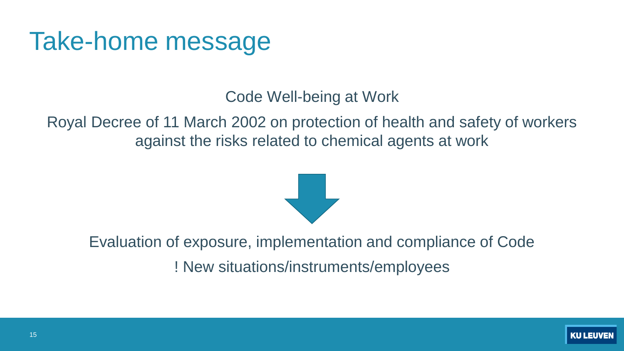# Take-home message

Code Well-being at Work

Royal Decree of 11 March 2002 on protection of health and safety of workers against the risks related to chemical agents at work



Evaluation of exposure, implementation and compliance of Code ! New situations/instruments/employees